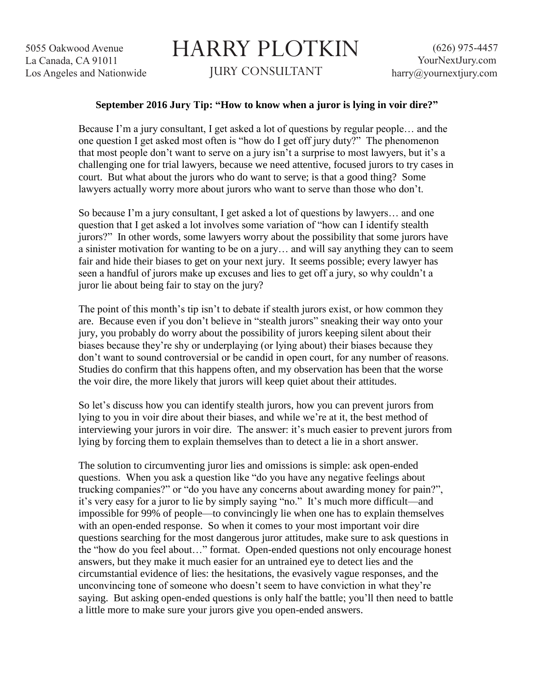5055 Oakwood Avenue La Canada, CA 91011 Los Angeles and Nationwide

## HARRY PLOTKIN JURY CONSULTANT

## **September 2016 Jury Tip: "How to know when a juror is lying in voir dire?"**

Because I'm a jury consultant, I get asked a lot of questions by regular people… and the one question I get asked most often is "how do I get off jury duty?" The phenomenon that most people don't want to serve on a jury isn't a surprise to most lawyers, but it's a challenging one for trial lawyers, because we need attentive, focused jurors to try cases in court. But what about the jurors who do want to serve; is that a good thing? Some lawyers actually worry more about jurors who want to serve than those who don't.

So because I'm a jury consultant, I get asked a lot of questions by lawyers… and one question that I get asked a lot involves some variation of "how can I identify stealth jurors?" In other words, some lawyers worry about the possibility that some jurors have a sinister motivation for wanting to be on a jury… and will say anything they can to seem fair and hide their biases to get on your next jury. It seems possible; every lawyer has seen a handful of jurors make up excuses and lies to get off a jury, so why couldn't a juror lie about being fair to stay on the jury?

The point of this month's tip isn't to debate if stealth jurors exist, or how common they are. Because even if you don't believe in "stealth jurors" sneaking their way onto your jury, you probably do worry about the possibility of jurors keeping silent about their biases because they're shy or underplaying (or lying about) their biases because they don't want to sound controversial or be candid in open court, for any number of reasons. Studies do confirm that this happens often, and my observation has been that the worse the voir dire, the more likely that jurors will keep quiet about their attitudes.

So let's discuss how you can identify stealth jurors, how you can prevent jurors from lying to you in voir dire about their biases, and while we're at it, the best method of interviewing your jurors in voir dire. The answer: it's much easier to prevent jurors from lying by forcing them to explain themselves than to detect a lie in a short answer.

The solution to circumventing juror lies and omissions is simple: ask open-ended questions. When you ask a question like "do you have any negative feelings about trucking companies?" or "do you have any concerns about awarding money for pain?", it's very easy for a juror to lie by simply saying "no." It's much more difficult—and impossible for 99% of people—to convincingly lie when one has to explain themselves with an open-ended response. So when it comes to your most important voir dire questions searching for the most dangerous juror attitudes, make sure to ask questions in the "how do you feel about…" format. Open-ended questions not only encourage honest answers, but they make it much easier for an untrained eye to detect lies and the circumstantial evidence of lies: the hesitations, the evasively vague responses, and the unconvincing tone of someone who doesn't seem to have conviction in what they're saying. But asking open-ended questions is only half the battle; you'll then need to battle a little more to make sure your jurors give you open-ended answers.